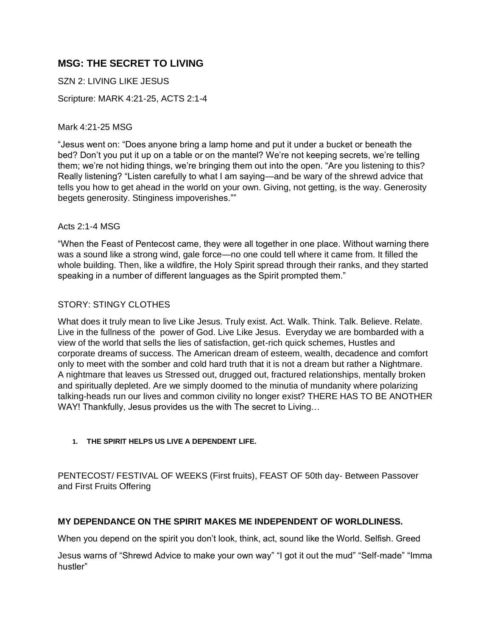# **MSG: THE SECRET TO LIVING**

SZN 2: LIVING LIKE JESUS

Scripture: MARK 4:21-25, ACTS 2:1-4

Mark 4:21-25 MSG

"Jesus went on: "Does anyone bring a lamp home and put it under a bucket or beneath the bed? Don't you put it up on a table or on the mantel? We're not keeping secrets, we're telling them; we're not hiding things, we're bringing them out into the open. "Are you listening to this? Really listening? "Listen carefully to what I am saying—and be wary of the shrewd advice that tells you how to get ahead in the world on your own. Giving, not getting, is the way. Generosity begets generosity. Stinginess impoverishes.""

### Acts 2:1-4 MSG

"When the Feast of Pentecost came, they were all together in one place. Without warning there was a sound like a strong wind, gale force—no one could tell where it came from. It filled the whole building. Then, like a wildfire, the Holy Spirit spread through their ranks, and they started speaking in a number of different languages as the Spirit prompted them."

### STORY: STINGY CLOTHES

What does it truly mean to live Like Jesus. Truly exist. Act. Walk. Think. Talk. Believe. Relate. Live in the fullness of the power of God. Live Like Jesus. Everyday we are bombarded with a view of the world that sells the lies of satisfaction, get-rich quick schemes, Hustles and corporate dreams of success. The American dream of esteem, wealth, decadence and comfort only to meet with the somber and cold hard truth that it is not a dream but rather a Nightmare. A nightmare that leaves us Stressed out, drugged out, fractured relationships, mentally broken and spiritually depleted. Are we simply doomed to the minutia of mundanity where polarizing talking-heads run our lives and common civility no longer exist? THERE HAS TO BE ANOTHER WAY! Thankfully, Jesus provides us the with The secret to Living…

#### **1. THE SPIRIT HELPS US LIVE A DEPENDENT LIFE.**

PENTECOST/ FESTIVAL OF WEEKS (First fruits), FEAST OF 50th day- Between Passover and First Fruits Offering

### **MY DEPENDANCE ON THE SPIRIT MAKES ME INDEPENDENT OF WORLDLINESS.**

When you depend on the spirit you don't look, think, act, sound like the World. Selfish. Greed

Jesus warns of "Shrewd Advice to make your own way" "I got it out the mud" "Self-made" "Imma hustler"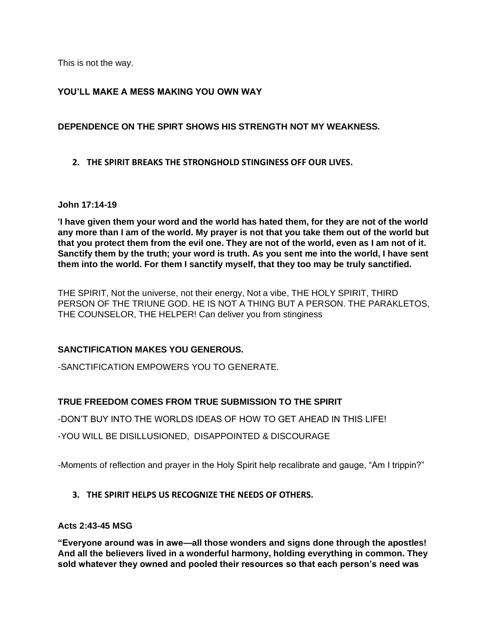This is not the way.

### **YOU'LL MAKE A MESS MAKING YOU OWN WAY**

### **DEPENDENCE ON THE SPIRT SHOWS HIS STRENGTH NOT MY WEAKNESS.**

**2. THE SPIRIT BREAKS THE STRONGHOLD STINGINESS OFF OUR LIVES.**

### **John 17:14-19**

**'I have given them your word and the world has hated them, for they are not of the world any more than I am of the world. My prayer is not that you take them out of the world but that you protect them from the evil one. They are not of the world, even as I am not of it. Sanctify them by the truth; your word is truth. As you sent me into the world, I have sent them into the world. For them I sanctify myself, that they too may be truly sanctified.**

THE SPIRIT, Not the universe, not their energy, Not a vibe, THE HOLY SPIRIT, THIRD PERSON OF THE TRIUNE GOD. HE IS NOT A THING BUT A PERSON. THE PARAKLETOS, THE COUNSELOR, THE HELPER! Can deliver you from stinginess

### **SANCTIFICATION MAKES YOU GENEROUS.**

-SANCTIFICATION EMPOWERS YOU TO GENERATE.

## **TRUE FREEDOM COMES FROM TRUE SUBMISSION TO THE SPIRIT**

-DON'T BUY INTO THE WORLDS IDEAS OF HOW TO GET AHEAD IN THIS LIFE!

-YOU WILL BE DISILLUSIONED, DISAPPOINTED & DISCOURAGE

-Moments of reflection and prayer in the Holy Spirit help recalibrate and gauge, "Am I trippin?"

### **3. THE SPIRIT HELPS US RECOGNIZE THE NEEDS OF OTHERS.**

### **Acts 2:43-45 MSG**

**"Everyone around was in awe—all those wonders and signs done through the apostles! And all the believers lived in a wonderful harmony, holding everything in common. They sold whatever they owned and pooled their resources so that each person's need was**